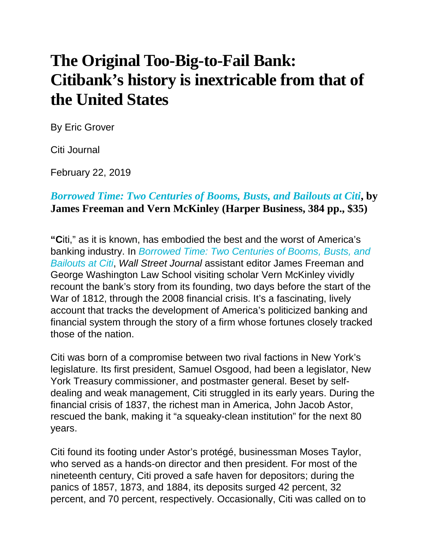## **The Original Too-Big-to-Fail Bank: Citibank's history is inextricable from that of the United States**

By Eric Grover

Citi Journal

February 22, 2019

## *[Borrowed](https://www.amazon.com/exec/obidos/ASIN/0062669877/manhattaninstitu/) Time: Two Centuries of Booms, Busts, and Bailouts at Citi***, by James Freeman and Vern McKinley (Harper Business, 384 pp., \$35)**

**"C**iti," as it is known, has embodied the best and the worst of America's banking industry. In *[Borrowed](https://www.amazon.com/exec/obidos/ASIN/0062669877/manhattaninstitu/) Time: Two Centuries of Booms, Busts, and [Bailouts](https://www.amazon.com/exec/obidos/ASIN/0062669877/manhattaninstitu/) at Citi*, *Wall Street Journal* assistant editor James Freeman and George Washington Law School visiting scholar Vern McKinley vividly recount the bank's story from its founding, two days before the start of the War of 1812, through the 2008 financial crisis. It's a fascinating, lively account that tracks the development of America's politicized banking and financial system through the story of a firm whose fortunes closely tracked those of the nation.

Citi was born of a compromise between two rival factions in New York's legislature. Its first president, Samuel Osgood, had been a legislator, New York Treasury commissioner, and postmaster general. Beset by selfdealing and weak management, Citi struggled in its early years. During the financial crisis of 1837, the richest man in America, John Jacob Astor, rescued the bank, making it "a squeaky-clean institution" for the next 80 years.

Citi found its footing under Astor's protégé, businessman Moses Taylor, who served as a hands-on director and then president. For most of the nineteenth century, Citi proved a safe haven for depositors; during the panics of 1857, 1873, and 1884, its deposits surged 42 percent, 32 percent, and 70 percent, respectively. Occasionally, Citi was called on to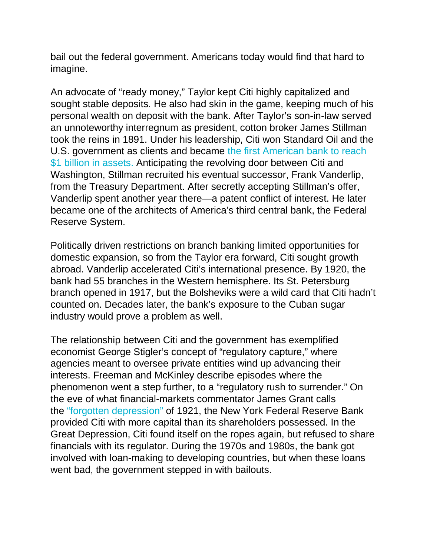bail out the federal government. Americans today would find that hard to imagine.

An advocate of "ready money," Taylor kept Citi highly capitalized and sought stable deposits. He also had skin in the game, keeping much of his personal wealth on deposit with the bank. After Taylor's son-in-law served an unnoteworthy interregnum as president, cotton broker James Stillman took the reins in 1891. Under his leadership, Citi won Standard Oil and the U.S. government as clients and became the first [American](https://www.citigroup.com/citi/press/mobile/ir/html/timeline/index-com.html) bank to reach \$1 billion in [assets.](https://www.citigroup.com/citi/press/mobile/ir/html/timeline/index-com.html) Anticipating the revolving door between Citi and Washington, Stillman recruited his eventual successor, Frank Vanderlip, from the Treasury Department. After secretly accepting Stillman's offer, Vanderlip spent another year there—a patent conflict of interest. He later became one of the architects of America's third central bank, the Federal Reserve System.

Politically driven restrictions on branch banking limited opportunities for domestic expansion, so from the Taylor era forward, Citi sought growth abroad. Vanderlip accelerated Citi's international presence. By 1920, the bank had 55 branches in the Western hemisphere. Its St. Petersburg branch opened in 1917, but the Bolsheviks were a wild card that Citi hadn't counted on. Decades later, the bank's exposure to the Cuban sugar industry would prove a problem as well.

The relationship between Citi and the government has exemplified economist George Stigler's concept of "regulatory capture," where agencies meant to oversee private entities wind up advancing their interests. Freeman and McKinley describe episodes where the phenomenon went a step further, to a "regulatory rush to surrender." On the eve of what financial-markets commentator James Grant calls the "forgotten [depression"](https://www.amazon.com/exec/obidos/ASIN/1451686463/manhattaninstitu/) of 1921, the New York Federal Reserve Bank provided Citi with more capital than its shareholders possessed. In the Great Depression, Citi found itself on the ropes again, but refused to share financials with its regulator. During the 1970s and 1980s, the bank got involved with loan-making to developing countries, but when these loans went bad, the government stepped in with bailouts.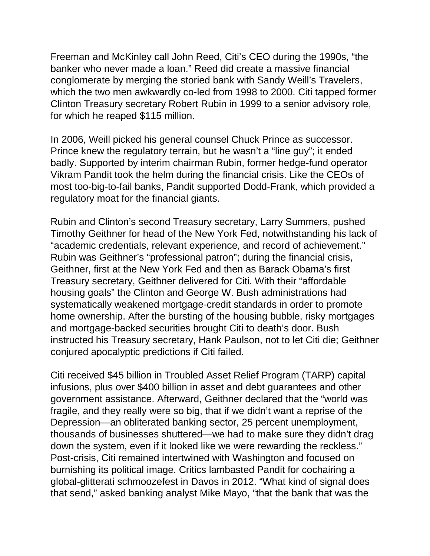Freeman and McKinley call John Reed, Citi's CEO during the 1990s, "the banker who never made a loan." Reed did create a massive financial conglomerate by merging the storied bank with Sandy Weill's Travelers, which the two men awkwardly co-led from 1998 to 2000. Citi tapped former Clinton Treasury secretary Robert Rubin in 1999 to a senior advisory role, for which he reaped \$115 million.

In 2006, Weill picked his general counsel Chuck Prince as successor. Prince knew the regulatory terrain, but he wasn't a "line guy"; it ended badly. Supported by interim chairman Rubin, former hedge-fund operator Vikram Pandit took the helm during the financial crisis. Like the CEOs of most too-big-to-fail banks, Pandit supported Dodd-Frank, which provided a regulatory moat for the financial giants.

Rubin and Clinton's second Treasury secretary, Larry Summers, pushed Timothy Geithner for head of the New York Fed, notwithstanding his lack of "academic credentials, relevant experience, and record of achievement." Rubin was Geithner's "professional patron"; during the financial crisis, Geithner, first at the New York Fed and then as Barack Obama's first Treasury secretary, Geithner delivered for Citi. With their "affordable housing goals" the Clinton and George W. Bush administrations had systematically weakened mortgage-credit standards in order to promote home ownership. After the bursting of the housing bubble, risky mortgages and mortgage-backed securities brought Citi to death's door. Bush instructed his Treasury secretary, Hank Paulson, not to let Citi die; Geithner conjured apocalyptic predictions if Citi failed.

Citi received \$45 billion in Troubled Asset Relief Program (TARP) capital infusions, plus over \$400 billion in asset and debt guarantees and other government assistance. Afterward, Geithner declared that the "world was fragile, and they really were so big, that if we didn't want a reprise of the Depression—an obliterated banking sector, 25 percent unemployment, thousands of businesses shuttered—we had to make sure they didn't drag down the system, even if it looked like we were rewarding the reckless." Post-crisis, Citi remained intertwined with Washington and focused on burnishing its political image. Critics lambasted Pandit for cochairing a global-glitterati schmoozefest in Davos in 2012. "What kind of signal does that send," asked banking analyst Mike Mayo, "that the bank that was the